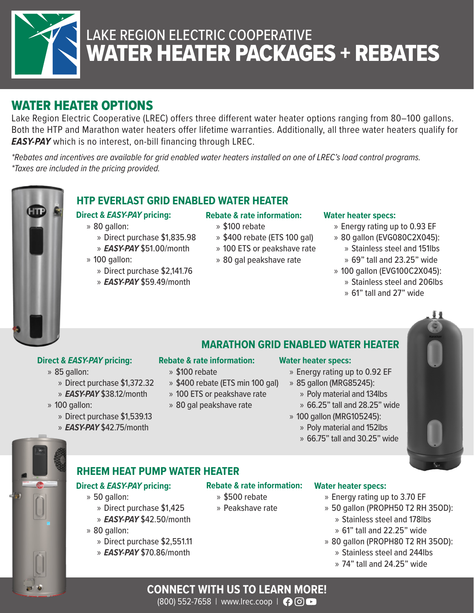

# WATER HEATER PACKAGES + REBATES LAKE REGION ELECTRIC COOPERATIVE

## WATER HEATER OPTIONS

Lake Region Electric Cooperative (LREC) offers three different water heater options ranging from 80–100 gallons. Both the HTP and Marathon water heaters offer lifetime warranties. Additionally, all three water heaters qualify for *EASY-PAY* which is no interest, on-bill financing through LREC.

*\*Rebates and incentives are available for grid enabled water heaters installed on one of LREC's load control programs. \*Taxes are included in the pricing provided.* 



## **HTP EVERLAST GRID ENABLED WATER HEATER**

## **Direct &** *EASY-PAY* **pricing:**

- » 80 gallon:
	- » Direct purchase \$1,835.98
	- » *EASY-PAY* \$51.00/month
- » 100 gallon:
	- » Direct purchase \$2,141.76
	- » *EASY-PAY* \$59.49/month

## **Rebate & rate information:**

- » \$100 rebate
- » \$400 rebate (ETS 100 gal)
- » 100 ETS or peakshave rate
- » 80 gal peakshave rate

### **Water heater specs:**

- » Energy rating up to 0.93 EF
- » 80 gallon (EVG080C2X045):
	- » Stainless steel and 151lbs » 69" tall and 23.25" wide
	-
- » 100 gallon (EVG100C2X045):
	- » Stainless steel and 206lbs
	- » 61" tall and 27" wide

## **Direct &** *EASY-PAY* **pricing:**

- » 85 gallon:
	- » Direct purchase \$1,372.32
	- » *EASY-PAY* \$38.12/month
- » 100 gallon:
	- » Direct purchase \$1,539.13
	- » *EASY-PAY* \$42.75/month

## **Rebate & rate information:**

- » \$100 rebate
- » \$400 rebate (ETS min 100 gal)
- 
- 

### **Water heater specs:**

- » Energy rating up to 0.92 EF
- » 85 gallon (MRG85245):
	- » Poly material and 134lbs
	- » 66.25" tall and 28.25" wide
- » 100 gallon (MRG105245):
	- » Poly material and 152lbs
		- » 66.75" tall and 30.25" wide





## **RHEEM HEAT PUMP WATER HEATER**

## **Direct &** *EASY-PAY* **pricing:**

- » 50 gallon:
	- » Direct purchase \$1,425
	- » *EASY-PAY* \$42.50/month
- » 80 gallon:
	- » Direct purchase \$2,551.11
	- » *EASY-PAY* \$70.86/month

### **Water heater specs:**

- » Energy rating up to 3.70 EF
- » 50 gallon (PROPH50 T2 RH 35OD):
	- » Stainless steel and 178lbs
	- » 61" tall and 22.25" wide
- » 80 gallon (PROPH80 T2 RH 35OD):
	- » Stainless steel and 244lbs
	- » 74" tall and 24.25" wide

(800) 552-7658 | www.lrec.coop | ↑ © ©

- » 100 ETS or peakshave rate
- » 80 gal peakshave rate



**Rebate & rate information:**

» \$500 rebate » Peakshave rate